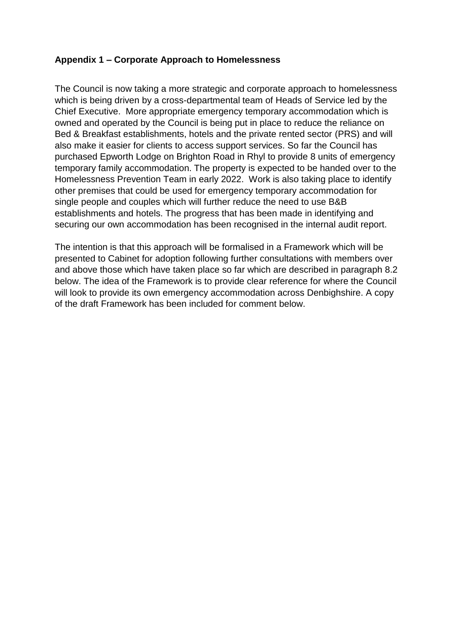## **Appendix 1 – Corporate Approach to Homelessness**

The Council is now taking a more strategic and corporate approach to homelessness which is being driven by a cross-departmental team of Heads of Service led by the Chief Executive. More appropriate emergency temporary accommodation which is owned and operated by the Council is being put in place to reduce the reliance on Bed & Breakfast establishments, hotels and the private rented sector (PRS) and will also make it easier for clients to access support services. So far the Council has purchased Epworth Lodge on Brighton Road in Rhyl to provide 8 units of emergency temporary family accommodation. The property is expected to be handed over to the Homelessness Prevention Team in early 2022. Work is also taking place to identify other premises that could be used for emergency temporary accommodation for single people and couples which will further reduce the need to use B&B establishments and hotels. The progress that has been made in identifying and securing our own accommodation has been recognised in the internal audit report.

The intention is that this approach will be formalised in a Framework which will be presented to Cabinet for adoption following further consultations with members over and above those which have taken place so far which are described in paragraph 8.2 below. The idea of the Framework is to provide clear reference for where the Council will look to provide its own emergency accommodation across Denbighshire. A copy of the draft Framework has been included for comment below.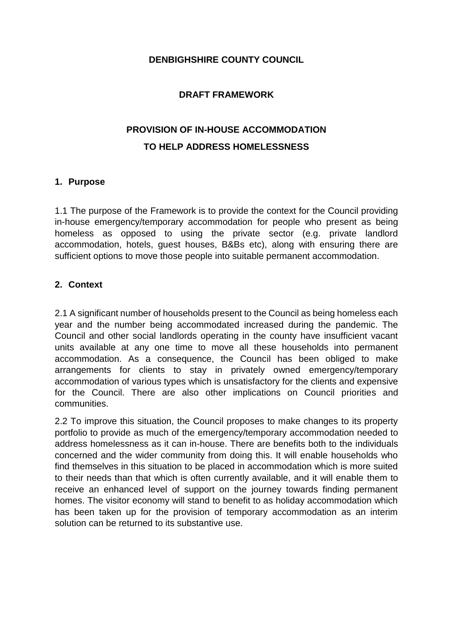# **DENBIGHSHIRE COUNTY COUNCIL**

## **DRAFT FRAMEWORK**

# **PROVISION OF IN-HOUSE ACCOMMODATION TO HELP ADDRESS HOMELESSNESS**

### **1. Purpose**

1.1 The purpose of the Framework is to provide the context for the Council providing in-house emergency/temporary accommodation for people who present as being homeless as opposed to using the private sector (e.g. private landlord accommodation, hotels, guest houses, B&Bs etc), along with ensuring there are sufficient options to move those people into suitable permanent accommodation.

### **2. Context**

2.1 A significant number of households present to the Council as being homeless each year and the number being accommodated increased during the pandemic. The Council and other social landlords operating in the county have insufficient vacant units available at any one time to move all these households into permanent accommodation. As a consequence, the Council has been obliged to make arrangements for clients to stay in privately owned emergency/temporary accommodation of various types which is unsatisfactory for the clients and expensive for the Council. There are also other implications on Council priorities and communities.

2.2 To improve this situation, the Council proposes to make changes to its property portfolio to provide as much of the emergency/temporary accommodation needed to address homelessness as it can in-house. There are benefits both to the individuals concerned and the wider community from doing this. It will enable households who find themselves in this situation to be placed in accommodation which is more suited to their needs than that which is often currently available, and it will enable them to receive an enhanced level of support on the journey towards finding permanent homes. The visitor economy will stand to benefit to as holiday accommodation which has been taken up for the provision of temporary accommodation as an interim solution can be returned to its substantive use.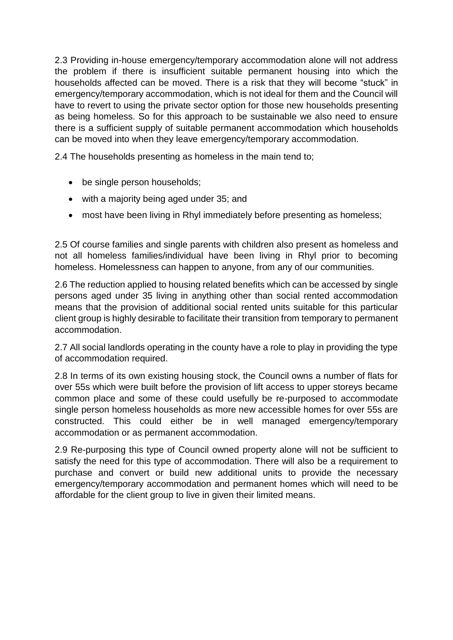2.3 Providing in-house emergency/temporary accommodation alone will not address the problem if there is insufficient suitable permanent housing into which the households affected can be moved. There is a risk that they will become "stuck" in emergency/temporary accommodation, which is not ideal for them and the Council will have to revert to using the private sector option for those new households presenting as being homeless. So for this approach to be sustainable we also need to ensure there is a sufficient supply of suitable permanent accommodation which households can be moved into when they leave emergency/temporary accommodation.

2.4 The households presenting as homeless in the main tend to;

- be single person households;
- with a majority being aged under 35; and
- most have been living in Rhyl immediately before presenting as homeless;

2.5 Of course families and single parents with children also present as homeless and not all homeless families/individual have been living in Rhyl prior to becoming homeless. Homelessness can happen to anyone, from any of our communities.

2.6 The reduction applied to housing related benefits which can be accessed by single persons aged under 35 living in anything other than social rented accommodation means that the provision of additional social rented units suitable for this particular client group is highly desirable to facilitate their transition from temporary to permanent accommodation.

2.7 All social landlords operating in the county have a role to play in providing the type of accommodation required.

2.8 In terms of its own existing housing stock, the Council owns a number of flats for over 55s which were built before the provision of lift access to upper storeys became common place and some of these could usefully be re-purposed to accommodate single person homeless households as more new accessible homes for over 55s are constructed. This could either be in well managed emergency/temporary accommodation or as permanent accommodation.

2.9 Re-purposing this type of Council owned property alone will not be sufficient to satisfy the need for this type of accommodation. There will also be a requirement to purchase and convert or build new additional units to provide the necessary emergency/temporary accommodation and permanent homes which will need to be affordable for the client group to live in given their limited means.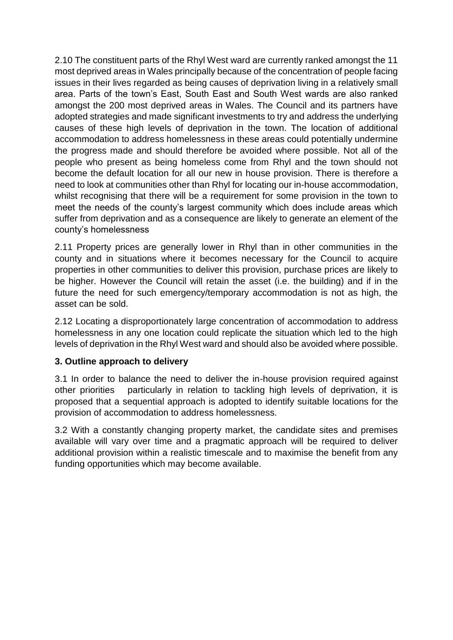2.10 The constituent parts of the Rhyl West ward are currently ranked amongst the 11 most deprived areas in Wales principally because of the concentration of people facing issues in their lives regarded as being causes of deprivation living in a relatively small area. Parts of the town's East, South East and South West wards are also ranked amongst the 200 most deprived areas in Wales. The Council and its partners have adopted strategies and made significant investments to try and address the underlying causes of these high levels of deprivation in the town. The location of additional accommodation to address homelessness in these areas could potentially undermine the progress made and should therefore be avoided where possible. Not all of the people who present as being homeless come from Rhyl and the town should not become the default location for all our new in house provision. There is therefore a need to look at communities other than Rhyl for locating our in-house accommodation, whilst recognising that there will be a requirement for some provision in the town to meet the needs of the county's largest community which does include areas which suffer from deprivation and as a consequence are likely to generate an element of the county's homelessness

2.11 Property prices are generally lower in Rhyl than in other communities in the county and in situations where it becomes necessary for the Council to acquire properties in other communities to deliver this provision, purchase prices are likely to be higher. However the Council will retain the asset (i.e. the building) and if in the future the need for such emergency/temporary accommodation is not as high, the asset can be sold.

2.12 Locating a disproportionately large concentration of accommodation to address homelessness in any one location could replicate the situation which led to the high levels of deprivation in the Rhyl West ward and should also be avoided where possible.

# **3. Outline approach to delivery**

3.1 In order to balance the need to deliver the in-house provision required against other priorities particularly in relation to tackling high levels of deprivation, it is proposed that a sequential approach is adopted to identify suitable locations for the provision of accommodation to address homelessness.

3.2 With a constantly changing property market, the candidate sites and premises available will vary over time and a pragmatic approach will be required to deliver additional provision within a realistic timescale and to maximise the benefit from any funding opportunities which may become available.